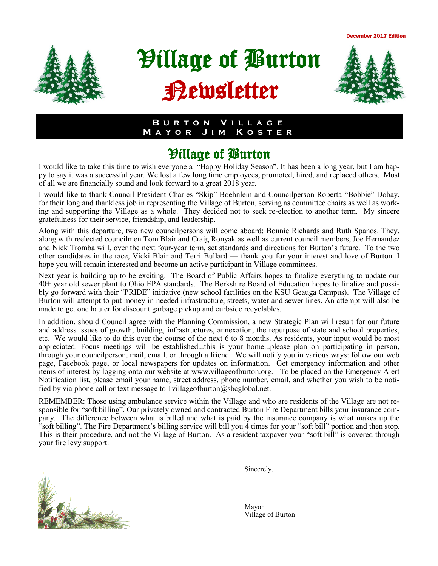December 2017 Edition



# Village of Burton Newsletter



#### **B u r t o n V i l l a g e M a y o r J i m K o s t e r**

# Village of Burton

I would like to take this time to wish everyone a "Happy Holiday Season". It has been a long year, but I am happy to say it was a successful year. We lost a few long time employees, promoted, hired, and replaced others. Most of all we are financially sound and look forward to a great 2018 year.

I would like to thank Council President Charles "Skip" Boehnlein and Councilperson Roberta "Bobbie" Dobay, for their long and thankless job in representing the Village of Burton, serving as committee chairs as well as working and supporting the Village as a whole. They decided not to seek re-election to another term. My sincere gratefulness for their service, friendship, and leadership.

Along with this departure, two new councilpersons will come aboard: Bonnie Richards and Ruth Spanos. They, along with reelected councilmen Tom Blair and Craig Ronyak as well as current council members, Joe Hernandez and Nick Tromba will, over the next four-year term, set standards and directions for Burton's future. To the two other candidates in the race, Vicki Blair and Terri Bullard — thank you for your interest and love of Burton. I hope you will remain interested and become an active participant in Village committees.

Next year is building up to be exciting. The Board of Public Affairs hopes to finalize everything to update our 40+ year old sewer plant to Ohio EPA standards. The Berkshire Board of Education hopes to finalize and possibly go forward with their "PRIDE" initiative (new school facilities on the KSU Geauga Campus). The Village of Burton will attempt to put money in needed infrastructure, streets, water and sewer lines. An attempt will also be made to get one hauler for discount garbage pickup and curbside recyclables.

In addition, should Council agree with the Planning Commission, a new Strategic Plan will result for our future and address issues of growth, building, infrastructures, annexation, the repurpose of state and school properties, etc. We would like to do this over the course of the next 6 to 8 months. As residents, your input would be most appreciated. Focus meetings will be established...this is your home...please plan on participating in person, through your councilperson, mail, email, or through a friend. We will notify you in various ways: follow our web page, Facebook page, or local newspapers for updates on information. Get emergency information and other items of interest by logging onto our website at www.villageofburton.org. To be placed on the Emergency Alert Notification list, please email your name, street address, phone number, email, and whether you wish to be notified by via phone call or text message to 1 villageofburton $@$ sbcglobal.net.

REMEMBER: Those using ambulance service within the Village and who are residents of the Village are not responsible for "soft billing". Our privately owned and contracted Burton Fire Department bills your insurance company. The difference between what is billed and what is paid by the insurance company is what makes up the "soft billing". The Fire Department's billing service will bill you 4 times for your "soft bill" portion and then stop. This is their procedure, and not the Village of Burton. As a resident taxpayer your "soft bill" is covered through your fire levy support.



Sincerely,

Village of Burton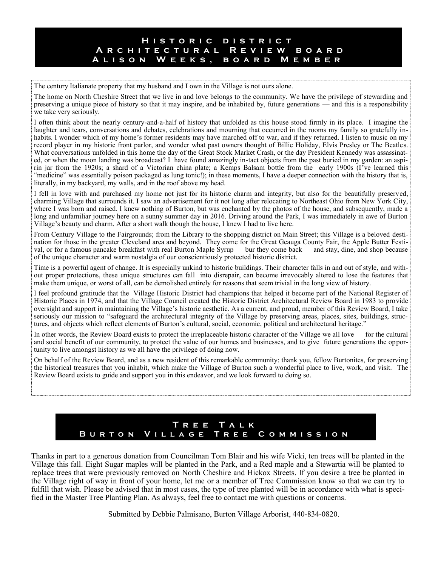#### **H i s t o r i c d i s t r i c t A r c h i t e c t u r a l R e v i e w b o a r d A l i s o n W e e k s , b o a r d M e m b e r**

The century Italianate property that my husband and I own in the Village is not ours alone.

The home on North Cheshire Street that we live in and love belongs to the community. We have the privilege of stewarding and preserving a unique piece of history so that it may inspire, and be inhabited by, future generations — and this is a responsibility we take very seriously.

I often think about the nearly century-and-a-half of history that unfolded as this house stood firmly in its place. I imagine the laughter and tears, conversations and debates, celebrations and mourning that occurred in the rooms my family so gratefully inhabits. I wonder which of my home's former residents may have marched off to war, and if they returned. I listen to music on my record player in my historic front parlor, and wonder what past owners thought of Billie Holiday, Elvis Presley or The Beatles. What conversations unfolded in this home the day of the Great Stock Market Crash, or the day President Kennedy was assassinated, or when the moon landing was broadcast? I have found amazingly in-tact objects from the past buried in my garden: an aspirin jar from the 1920s; a shard of a Victorian china plate; a Kemps Balsam bottle from the early 1900s (I've learned this "medicine" was essentially poison packaged as lung tonic!); in these moments, I have a deeper connection with the history that is, literally, in my backyard, my walls, and in the roof above my head.

I fell in love with and purchased my home not just for its historic charm and integrity, but also for the beautifully preserved, charming Village that surrounds it. I saw an advertisement for it not long after relocating to Northeast Ohio from New York City, where I was born and raised. I knew nothing of Burton, but was enchanted by the photos of the house, and subsequently, made a long and unfamiliar journey here on a sunny summer day in 2016. Driving around the Park, I was immediately in awe of Burton Village's beauty and charm. After a short walk though the house, I knew I had to live here.

From Century Village to the Fairgrounds; from the Library to the shopping district on Main Street; this Village is a beloved destination for those in the greater Cleveland area and beyond. They come for the Great Geauga County Fair, the Apple Butter Festival, or for a famous pancake breakfast with real Burton Maple Syrup — bur they come back — and stay, dine, and shop because of the unique character and warm nostalgia of our conscientiously protected historic district.

Time is a powerful agent of change. It is especially unkind to historic buildings. Their character falls in and out of style, and without proper protections, these unique structures can fall into disrepair, can become irrevocably altered to lose the features that make them unique, or worst of all, can be demolished entirely for reasons that seem trivial in the long view of history.

I feel profound gratitude that the Village Historic District had champions that helped it become part of the National Register of Historic Places in 1974, and that the Village Council created the Historic District Architectural Review Board in 1983 to provide oversight and support in maintaining the Village's historic aesthetic. As a current, and proud, member of this Review Board, I take seriously our mission to "safeguard the architectural integrity of the Village by preserving areas, places, sites, buildings, structures, and objects which reflect elements of Burton's cultural, social, economic, political and architectural heritage."

In other words, the Review Board exists to protect the irreplaceable historic character of the Village we all love — for the cultural and social benefit of our community, to protect the value of our homes and businesses, and to give future generations the opportunity to live amongst history as we all have the privilege of doing now.

On behalf of the Review Board, and as a new resident of this remarkable community: thank you, fellow Burtonites, for preserving the historical treasures that you inhabit, which make the Village of Burton such a wonderful place to live, work, and visit. The Review Board exists to guide and support you in this endeavor, and we look forward to doing so.

### **T r e e T a l k B u r t o n V i l l a g e T r e e C o m m i s s i o n**

Thanks in part to a generous donation from Councilman Tom Blair and his wife Vicki, ten trees will be planted in the Village this fall. Eight Sugar maples will be planted in the Park, and a Red maple and a Stewartia will be planted to replace trees that were previously removed on North Cheshire and Hickox Streets. If you desire a tree be planted in the Village right of way in front of your home, let me or a member of Tree Commission know so that we can try to fulfill that wish. Please be advised that in most cases, the type of tree planted will be in accordance with what is specified in the Master Tree Planting Plan. As always, feel free to contact me with questions or concerns.

Submitted by Debbie Palmisano, Burton Village Arborist, 440-834-0820.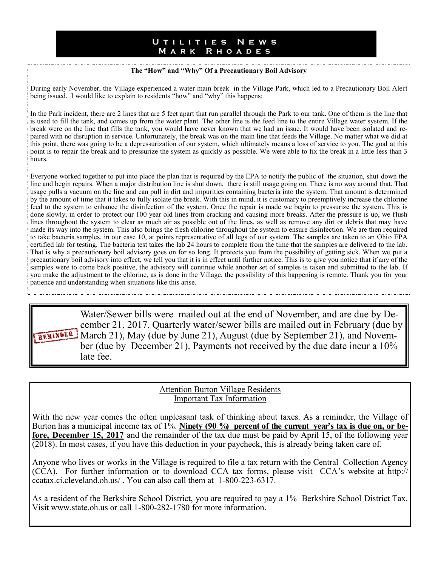#### **U t i l i t i e s N e w s M a r k R h o a d e s**

#### **The "How" and "Why" Of a Precautionary Boil Advisory**

During early November, the Village experienced a water main break in the Village Park, which led to a Precautionary Boil Alert being issued. I would like to explain to residents "how" and "why" this happens:

In the Park incident, there are 2 lines that are 5 feet apart that run parallel through the Park to our tank. One of them is the line that is is used to fill the tank, and comes up from the water plant. The other line is the feed line to the entire Village water system. If the break were on the line that fills the tank, you would have never known that we had an issue. It would have been isolated and repaired with no disruption in service. Unfortunately, the break was on the main line that feeds the Village. No matter what we did at this point, there was going to be a depressurization of our system, which ultimately means a loss of service to you. The goal at this point is to repair the break and to pressurize the system as quickly as possible. We were able to fix the break in a little less than 3 hours.

Everyone worked together to put into place the plan that is required by the EPA to notify the public of the situation, shut down the line and begin repairs. When a major distribution line is shut down, there is still usage going on. There is no way around that. That is usage pulls a vacuum on the line and can pull in dirt and impurities containing bacteria into the system. That amount is determined ! by the amount of time that it takes to fully isolate the break. With this in mind, it is customary to preemptively increase the chlorine feed to the system to enhance the disinfection of the system. Once the repair is made we begin to pressurize the system. This is done slowly, in order to protect our 100 year old lines from cracking and causing more breaks. After the pressure is up, we flush lines throughout the system to clear as much air as possible out of the lines, as well as remove any dirt or debris that may have! made its way into the system. This also brings the fresh chlorine throughout the system to ensure disinfection. We are then required to take bacteria samples, in our case 10, at points representative of all legs of our system. The samples are taken to an Ohio EPA certified lab for testing. The bacteria test takes the lab 24 hours to complete from the time that the samples are delivered to the lab. That is why a precautionary boil advisory goes on for so long. It protects you from the possibility of getting sick. When we put a precautionary boil advisory into effect, we tell you that it is in effect until further notice. This is to give you notice that if any of the samples were to come back positive, the advisory will continue while another set of samples is taken and submitted to the lab. If i you make the adjustment to the chlorine, as is done in the Village, the possibility of this happening is remote. Thank you for your! patience and understanding when situations like this arise.

Water/Sewer bills were mailed out at the end of November, and are due by December 21, 2017. Quarterly water/sewer bills are mailed out in February (due by REMINDER March 21), May (due by June 21), August (due by September 21), and November (due by December 21). Payments not received by the due date incur a 10% late fee.

#### Attention Burton Village Residents Important Tax Information

With the new year comes the often unpleasant task of thinking about taxes. As a reminder, the Village of Burton has a municipal income tax of 1%. Ninety (90 %) percent of the current year's tax is due on, or be**fore, December 15, 2017** and the remainder of the tax due must be paid by April 15, of the following year (2018). In most cases, if you have this deduction in your paycheck, this is already being taken care of.

Anyone who lives or works in the Village is required to file a tax return with the Central Collection Agency (CCA). For further information or to download CCA tax forms, please visit CCA's website at http:// ccatax.ci.cleveland.oh.us/ . You can also call them at 1-800-223-6317.

As a resident of the Berkshire School District, you are required to pay a 1% Berkshire School District Tax. Visit www.state.oh.us or call 1-800-282-1780 for more information.